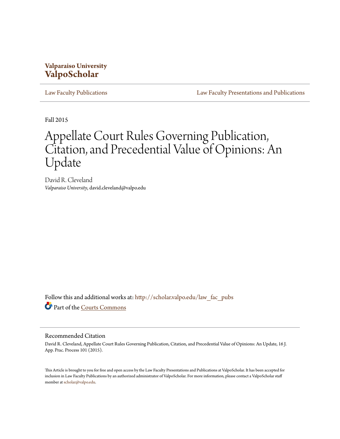## **Valparaiso University [ValpoScholar](http://scholar.valpo.edu?utm_source=scholar.valpo.edu%2Flaw_fac_pubs%2F412&utm_medium=PDF&utm_campaign=PDFCoverPages)**

[Law Faculty Publications](http://scholar.valpo.edu/law_fac_pubs?utm_source=scholar.valpo.edu%2Flaw_fac_pubs%2F412&utm_medium=PDF&utm_campaign=PDFCoverPages) [Law Faculty Presentations and Publications](http://scholar.valpo.edu/law_fac?utm_source=scholar.valpo.edu%2Flaw_fac_pubs%2F412&utm_medium=PDF&utm_campaign=PDFCoverPages)

Fall 2015

# Appellate Court Rules Governing Publication, Citation, and Precedential Value of Opinions: An Update

David R. Cleveland *Valparaiso University*, david.cleveland@valpo.edu

Follow this and additional works at: [http://scholar.valpo.edu/law\\_fac\\_pubs](http://scholar.valpo.edu/law_fac_pubs?utm_source=scholar.valpo.edu%2Flaw_fac_pubs%2F412&utm_medium=PDF&utm_campaign=PDFCoverPages) Part of the [Courts Commons](http://network.bepress.com/hgg/discipline/839?utm_source=scholar.valpo.edu%2Flaw_fac_pubs%2F412&utm_medium=PDF&utm_campaign=PDFCoverPages)

#### Recommended Citation

David R. Cleveland, Appellate Court Rules Governing Publication, Citation, and Precedential Value of Opinions: An Update, 16 J. App. Prac. Process 101 (2015).

This Article is brought to you for free and open access by the Law Faculty Presentations and Publications at ValpoScholar. It has been accepted for inclusion in Law Faculty Publications by an authorized administrator of ValpoScholar. For more information, please contact a ValpoScholar staff member at [scholar@valpo.edu](mailto:scholar@valpo.edu).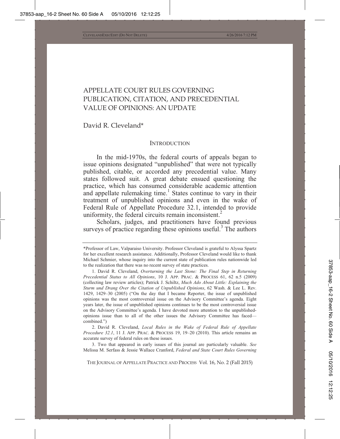### APPELLATE COURT RULES GOVERNING PUBLICATION, CITATION, AND PRECEDENTIAL VALUE OF OPINIONS: AN UPDATE

David R. Cleveland\*

#### **INTRODUCTION**

In the mid-1970s, the federal courts of appeals began to issue opinions designated "unpublished" that were not typically published, citable, or accorded any precedential value. Many states followed suit. A great debate ensued questioning the practice, which has consumed considerable academic attention and appellate rulemaking time.<sup>1</sup> States continue to vary in their treatment of unpublished opinions and even in the wake of Federal Rule of Appellate Procedure 32.1, intended to provide uniformity, the federal circuits remain inconsistent.<sup>2</sup>

Scholars, judges, and practitioners have found previous surveys of practice regarding these opinions useful. $3$  The authors

 2. David R. Cleveland, *Local Rules in the Wake of Federal Rule of Appellate Procedure 32.1*, 11 J. APP. PRAC. & PROCESS 19, 19–20 (2010). This article remains an accurate survey of federal rules on these issues.

 3. Two that appeared in early issues of this journal are particularly valuable. *See* Melissa M. Serfass & Jessie Wallace Cranford, *Federal and State Court Rules Governing* 

THE JOURNAL OF APPELLATE PRACTICE AND PROCESS Vol. 16, No. 2 (Fall 2015)

<sup>\*</sup>Professor of Law, Valparaiso University. Professor Cleveland is grateful to Alyssa Spartz for her excellent research assistance. Additionally, Professor Cleveland would like to thank Michael Schmier, whose inquiry into the current state of publication rules nationwide led to the realization that there was no recent survey of state practices.

 <sup>1.</sup> David R. Cleveland, *Overturning the Last Stone: The Final Step in Returning Precedential Status to All Opinions*, 10 J. APP. PRAC.&PROCESS 61, 62 n.5 (2009) (collecting law review articles); Patrick J. Schiltz, *Much Ado About Little: Explaining the Sturm und Drang Over the Citation of Unpublished Opinions*, 62 Wash. & Lee L. Rev. 1429, 1429–30 (2005) ("On the day that I became Reporter, the issue of unpublished opinions was the most controversial issue on the Advisory Committee's agenda. Eight years later, the issue of unpublished opinions continues to be the most controversial issue on the Advisory Committee's agenda. I have devoted more attention to the unpublishedopinions issue than to all of the other issues the Advisory Committee has faced combined.")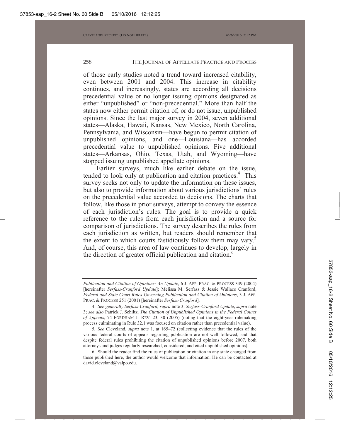of those early studies noted a trend toward increased citability, even between 2001 and 2004. This increase in citability continues, and increasingly, states are according all decisions precedential value or no longer issuing opinions designated as either "unpublished" or "non-precedential." More than half the states now either permit citation of, or do not issue, unpublished opinions. Since the last major survey in 2004, seven additional states—Alaska, Hawaii, Kansas, New Mexico, North Carolina, Pennsylvania, and Wisconsin—have begun to permit citation of unpublished opinions, and one—Louisiana—has accorded precedential value to unpublished opinions. Five additional states—Arkansas, Ohio, Texas, Utah, and Wyoming—have stopped issuing unpublished appellate opinions.

Earlier surveys, much like earlier debate on the issue, tended to look only at publication and citation practices.<sup>4</sup> This survey seeks not only to update the information on these issues, but also to provide information about various jurisdictions' rules on the precedential value accorded to decisions. The charts that follow, like those in prior surveys, attempt to convey the essence of each jurisdiction's rules. The goal is to provide a quick reference to the rules from each jurisdiction and a source for comparison of jurisdictions. The survey describes the rules from each jurisdiction as written, but readers should remember that the extent to which courts fastidiously follow them may vary.<sup>5</sup> And, of course, this area of law continues to develop, largely in the direction of greater official publication and citation.<sup>6</sup>

*Publication and Citation of Opinions: An Update*, 6 J. APP. PRAC. & PROCESS 349 (2004) [hereinafter *Serfass-Cranford Update*]; Melissa M. Serfass & Jessie Wallace Cranford, *Federal and State Court Rules Governing Publication and Citation of Opinions*, 3 J. APP. PRAC.&PROCESS 251 (2001) [hereinafter *Serfass-Cranford*].

 <sup>4.</sup> *See generally Serfass-Cranford*, *supra* note 3; *Serfass-Cranford Update*, *supra* note 3; *see also* Patrick J. Schiltz, *The Citation of Unpublished Opinions in the Federal Courts of Appeals*, 74 FORDHAM L. REV. 23, 30 (2005) (noting that the eight-year rulemaking process culminating in Rule 32.1 was focused on citation rather than precedential value).

<sup>5</sup>*. See* Cleveland, *supra* note 1, at 165–72 (collecting evidence that the rules of the various federal courts of appeals regarding publication are not well followed, and that despite federal rules prohibiting the citation of unpublished opinions before 2007, both attorneys and judges regularly researched, considered, and cited unpublished opinions).

 <sup>6.</sup> Should the reader find the rules of publication or citation in any state changed from those published here, the author would welcome that information. He can be contacted at david.cleveland@valpo.edu.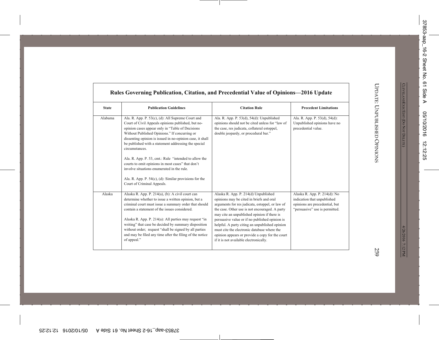| <b>State</b>                                                                                                                                                                                                                                                    | <b>Publication Guidelines</b>                                                                                                                                                                                                                                                                                                                        | <b>Citation Rule</b>                                                                                                                                                                                                                                                                                                                                                                                                                                                                 | <b>Precedent Limitations</b>                                                                                                    |
|-----------------------------------------------------------------------------------------------------------------------------------------------------------------------------------------------------------------------------------------------------------------|------------------------------------------------------------------------------------------------------------------------------------------------------------------------------------------------------------------------------------------------------------------------------------------------------------------------------------------------------|--------------------------------------------------------------------------------------------------------------------------------------------------------------------------------------------------------------------------------------------------------------------------------------------------------------------------------------------------------------------------------------------------------------------------------------------------------------------------------------|---------------------------------------------------------------------------------------------------------------------------------|
| Alabama<br>opinion cases appear only in "Table of Decisions<br>Without Published Opinions." If concurring or<br>circumstances.<br>courts to omit opinions in most cases" that don't<br>involve situations enumerated in the rule.<br>Court of Criminal Appeals. | Ala. R. App. P. 53(c), (d): All Supreme Court and<br>Court of Civil Appeals opinions published, but no-<br>dissenting opinion is issued in no-opinion case, it shall<br>be published with a statement addressing the special<br>Ala. R. App. P. 53, cmt.: Rule "intended to allow the<br>Ala. R. App. P. $54(c)$ , (d): Similar provisions for the   | Ala. R. App. P. 53(d), 54(d): Unpublished<br>opinions should not be cited unless for "law of<br>the case, res judicata, collateral estoppel,<br>double jeopardy, or procedural bar."                                                                                                                                                                                                                                                                                                 | Ala. R. App. P. 53(d), 54(d):<br>Unpublished opinions have no<br>precedential value.                                            |
| Alaska<br>Alaska R. App. P. 214(a), (b): A civil court can<br>contain a statement of the issues considered.<br>of appeal."                                                                                                                                      | determine whether to issue a written opinion, but a<br>criminal court must issue a summary order that should<br>Alaska R. App. P. 214(a): All parties may request "in<br>writing" that case be decided by summary disposition<br>without order; request "shall be signed by all parties"<br>and may be filed any time after the filing of the notice | Alaska R. App. P. 214(d) Unpublished<br>opinions may be cited in briefs and oral<br>arguments for res judicata, estoppel, or law of<br>the case. Other use is not encouraged. A party<br>may cite an unpublished opinion if there is<br>persuasive value or if no published opinion is<br>helpful. A party citing an unpublished opinion<br>must cite the electronic database where the<br>opinion appears or provide a copy for the court<br>if it is not available electronically. | Alaska R. App. P. 214(d): No<br>indication that unpublished<br>opinions are precedential, but<br>"persuasive" use is permitted. |

г

٦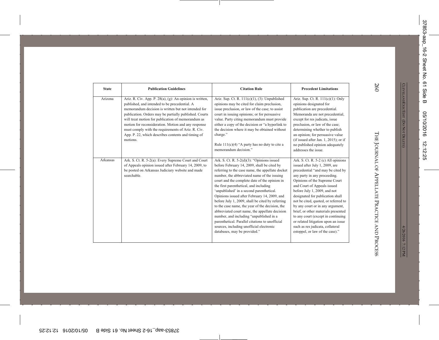| <b>State</b> | <b>Publication Guidelines</b>                                                                                                                                                                                                                                                                                                                                                                                                                                   | <b>Citation Rule</b>                                                                                                                                                                                                                                                                                                                                                                                                                                                                                                                                                                                                                                                                                                      | <b>Precedent Limitations</b>                                                                                                                                                                                                                                                                                                                                                                                                                                                                                                                          |
|--------------|-----------------------------------------------------------------------------------------------------------------------------------------------------------------------------------------------------------------------------------------------------------------------------------------------------------------------------------------------------------------------------------------------------------------------------------------------------------------|---------------------------------------------------------------------------------------------------------------------------------------------------------------------------------------------------------------------------------------------------------------------------------------------------------------------------------------------------------------------------------------------------------------------------------------------------------------------------------------------------------------------------------------------------------------------------------------------------------------------------------------------------------------------------------------------------------------------------|-------------------------------------------------------------------------------------------------------------------------------------------------------------------------------------------------------------------------------------------------------------------------------------------------------------------------------------------------------------------------------------------------------------------------------------------------------------------------------------------------------------------------------------------------------|
| Arizona      | Ariz. R. Civ. App. P. 28(a), (g): An opinion is written,<br>published, and intended to be precedential. A<br>memorandum decision is written but not intended for<br>publication. Orders may be partially published. Courts<br>will treat motion for publication of memorandum as<br>motion for reconsideration. Motion and any response<br>must comply with the requirements of Ariz. R. Civ.<br>App. P. 22, which describes contents and timing of<br>motions. | Ariz. Sup. Ct. R. $111(c)(1)$ , (3): Unpublished<br>opinions may be cited for claim preclusion,<br>issue preclusion, or law of the case; to assist<br>court in issuing opinions; or for persuasive<br>value. Party citing memorandum must provide<br>either a copy of the decision or "a hyperlink to<br>the decision where it may be obtained without<br>charge."<br>Rule $111(c)(4)$ "A party has no duty to cite a<br>memorandum decision."                                                                                                                                                                                                                                                                            | Ariz. Sup. Ct. R. 111(c)(1): Only<br>opinions designated for<br>publication are precedential.<br>Memoranda are not precedential,<br>except for res judicata, issue<br>preclusion, or law of the case;<br>determining whether to publish<br>an opinion; for persuasive value<br>(if issued after Jan. 1, 2015); or if<br>no published opinion adequately<br>addresses the issue.                                                                                                                                                                       |
| Arkansas     | Ark. S. Ct. R. 5-2(a): Every Supreme Court and Court<br>of Appeals opinion issued after February 14, 2009, to<br>be posted on Arkansas Judiciary website and made<br>searchable.                                                                                                                                                                                                                                                                                | Ark. S. Ct. R. $5-2(d)(3)$ : "Opinions issued<br>before February 14, 2009, shall be cited by<br>referring to the case name, the appellate docket<br>number, the abbreviated name of the issuing<br>court and the complete date of the opinion in<br>the first parenthetical, and including<br>'unpublished' in a second parenthetical.<br>Opinions issued after February 14, 2009, and<br>before July 1, 2009, shall be cited by referring<br>to the case name, the year of the decision, the<br>abbreviated court name, the appellate decision<br>number, and including "unpublished in a<br>parenthetical. Parallel citations to unofficial<br>sources, including unofficial electronic<br>databases, may be provided." | Ark. S. Ct. R. 5-2 (c) All opinions<br>issued after July 1, 2009, are<br>precedential "and may be cited by<br>any party in any proceeding.<br>Opinions of the Supreme Court<br>and Court of Appeals issued<br>before July 1, 2009, and not<br>designated for publication shall<br>not be cited, quoted, or referred to<br>by any court or in any argument,<br>brief, or other materials presented<br>to any court (except in continuing<br>or related litigation upon an issue<br>such as res judicata, collateral<br>estoppel, or law of the case)." |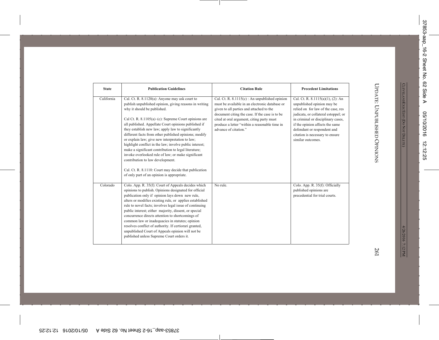| <b>State</b> | <b>Publication Guidelines</b>                                                                                                                                                                                                                                                                                                                                                                                                                                                                                                                                                                                                                                                                                                                     | <b>Citation Rule</b>                                                                                                                                                                                                                                                                                                    | <b>Precedent Limitations</b>                                                                                                                                                                                                                                                                                     |
|--------------|---------------------------------------------------------------------------------------------------------------------------------------------------------------------------------------------------------------------------------------------------------------------------------------------------------------------------------------------------------------------------------------------------------------------------------------------------------------------------------------------------------------------------------------------------------------------------------------------------------------------------------------------------------------------------------------------------------------------------------------------------|-------------------------------------------------------------------------------------------------------------------------------------------------------------------------------------------------------------------------------------------------------------------------------------------------------------------------|------------------------------------------------------------------------------------------------------------------------------------------------------------------------------------------------------------------------------------------------------------------------------------------------------------------|
| California   | Cal. Ct. R. 8.1120(a): Anyone may ask court to<br>publish unpublished opinion, giving reasons in writing<br>why it should be published.<br>Cal Ct. R. $8.1105(a)$ – (c): Supreme Court opinions are<br>all published. Appellate Court opinions published if<br>they establish new law; apply law to significantly<br>different facts from other published opinions; modify<br>or explain law; give new interpretation to law;<br>highlight conflict in the law; involve public interest;<br>make a significant contribution to legal literature;<br>invoke overlooked rule of law; or make significant<br>contribution to law development.<br>Cal. Ct. R. 8.1110: Court may decide that publication<br>of only part of an opinion is appropriate. | Cal. Ct. R. $8.1115(c)$ : An unpublished opinion<br>must be available in an electronic database or<br>given to all parties and attached to the<br>document citing the case. If the case is to be<br>cited at oral argument, citing party must<br>produce a letter "within a reasonable time in<br>advance of citation." | Cal. Ct. R. $8.1115(a)(1)$ , (2): An<br>unpublished opinion may be<br>relied on for law of the case, res<br>judicata, or collateral estoppel; or<br>in criminal or disciplinary cases,<br>if the opinion affects the same<br>defendant or respondent and<br>citation is necessary to ensure<br>similar outcomes. |
| Colorado     | Colo. App. R. 35(f): Court of Appeals decides which<br>opinions to publish. Opinions designated for official<br>publication only if opinion lays down new rule,<br>alters or modifies existing rule, or applies established<br>rule to novel facts; involves legal issue of continuing<br>public interest; either majority, dissent, or special<br>concurrence directs attention to shortcomings of<br>common law or inadequacies in statutes; opinion<br>resolves conflict of authority. If certiorari granted,<br>unpublished Court of Appeals opinion will not be<br>published unless Supreme Court orders it.                                                                                                                                 | No rule.                                                                                                                                                                                                                                                                                                                | Colo. App. R. 35(f): Officially<br>published opinions are<br>precedential for trial courts.                                                                                                                                                                                                                      |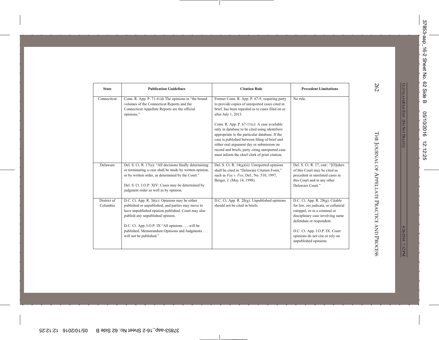| <b>State</b>            | <b>Publication Guidelines</b>                                                                                                                                                                                                                                                                                                | <b>Citation Rule</b>                                                                                                                                                                                                                                                                                                                                                                                                                                                                                                                | <b>Precedent Limitations</b>                                                                                                                                                                                                                                              |
|-------------------------|------------------------------------------------------------------------------------------------------------------------------------------------------------------------------------------------------------------------------------------------------------------------------------------------------------------------------|-------------------------------------------------------------------------------------------------------------------------------------------------------------------------------------------------------------------------------------------------------------------------------------------------------------------------------------------------------------------------------------------------------------------------------------------------------------------------------------------------------------------------------------|---------------------------------------------------------------------------------------------------------------------------------------------------------------------------------------------------------------------------------------------------------------------------|
| Connecticut             | Conn. R. App. P. 71-4 (d) The opinions in "the bound<br>volumes of the Connecticut Reports and the<br>Connecticut Appellate Reports are the official<br>opinions."                                                                                                                                                           | Former Conn. R. App. P. 67-9, requiring party<br>to provide copies of unreported cases cited in<br>brief, has been repealed as to cases filed on or<br>after July 1, 2013.<br>Conn. R. App. P. $67-11(c)$ : A case available<br>only in database to be cited using identifiers<br>appropriate to the particular database. If the<br>case is published between filing of brief and<br>either oral argument day or submission on<br>record and briefs, party citing unreported case<br>must inform the chief clerk of print citation. | No rule.                                                                                                                                                                                                                                                                  |
| Delaware                | Del. S. Ct. R. 17(a): "All decisions finally determining<br>or terminating a case shall be made by written opinion,<br>or by written order, as determined by the Court."<br>Del. S. Ct. I.O.P. XIV: Cases may be determined by<br>judgment order as well as by opinion.                                                      | Del. S. Ct. R. $14(g)(ii)$ : Unreported opinions<br>shall be cited in "Delaware Citation Form."<br>such as Fox v. Fox, Del., No. 510, 1997,<br>Berger, J. (May 14, 1998).                                                                                                                                                                                                                                                                                                                                                           | Del. S. Ct. R. 17, cmt.: "[O]rders<br>of this Court may be cited as<br>precedent in unrelated cases in<br>this Court and in any other<br>Delaware Court."                                                                                                                 |
| District of<br>Columbia | D.C. Ct. App. R. $36(c)$ : Opinions may be either<br>published or unpublished, and parties may move to<br>have unpublished opinion published. Court may also<br>publish any unpublished opinion.<br>D.C. Ct. App. I.O.P. IX "All opinions will be<br>published. Memorandum Opinions and Judgments<br>will not be published." | D.C. Ct. App. R. $28(g)$ : Unpublished opinions<br>should not be cited in briefs.                                                                                                                                                                                                                                                                                                                                                                                                                                                   | D.C. Ct. App. R. $28(g)$ : Citable<br>for law, res judicata, or collateral<br>estoppel, or in a criminal or<br>disciplinary case involving same<br>defendant or respondent.<br>D.C. Ct. App. I.O.P. IX: Court<br>opinions do not cite or rely on<br>unpublished opinions. |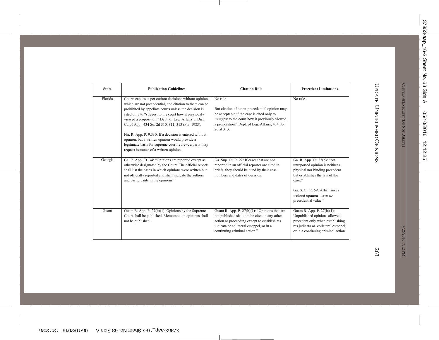| <b>State</b> | <b>Publication Guidelines</b>                                                                                                                                                                                                                                                                                                                                                                                                                                                                                                                                       | <b>Citation Rule</b>                                                                                                                                                                                                         | <b>Precedent Limitations</b>                                                                                                                                                                                                     |
|--------------|---------------------------------------------------------------------------------------------------------------------------------------------------------------------------------------------------------------------------------------------------------------------------------------------------------------------------------------------------------------------------------------------------------------------------------------------------------------------------------------------------------------------------------------------------------------------|------------------------------------------------------------------------------------------------------------------------------------------------------------------------------------------------------------------------------|----------------------------------------------------------------------------------------------------------------------------------------------------------------------------------------------------------------------------------|
| Florida      | Courts can issue per curiam decisions without opinion,<br>which are not precedential, and citation to them can be<br>prohibited by appellate courts unless the decision is<br>cited only to "suggest to the court how it previously<br>viewed a proposition." Dept. of Leg. Affairs v. Dist.<br>Ct. of App., 434 So. 2d 310, 311, 313 (Fla. 1983).<br>Fla. R. App. P. 9.330: If a decision is entered without<br>opinion, but a written opinion would provide a<br>legitimate basis for supreme court review, a party may<br>request issuance of a written opinion. | No rule.<br>But citation of a non-precedential opinion may<br>be acceptable if the case is cited only to<br>"suggest to the court how it previously viewed<br>a proposition." Dept. of Leg. Affairs, 434 So.<br>2d at 313.   | No rule.                                                                                                                                                                                                                         |
| Georgia      | Ga. R. App. Ct. 34: "Opinions are reported except as<br>otherwise designated by the Court. The official reports<br>shall list the cases in which opinions were written but<br>not officially reported and shall indicate the authors<br>and participants in the opinions."                                                                                                                                                                                                                                                                                          | Ga. Sup. Ct. R. 22: If cases that are not<br>reported in an official reporter are cited in<br>briefs, they should be cited by their case<br>numbers and dates of decision.                                                   | Ga. R. App. Ct. 33(b): "An<br>unreported opinion is neither a<br>physical nor binding precedent<br>but establishes the law of the<br>case."<br>Ga. S. Ct. R. 59: Affirmances<br>without opinion "have no<br>precedential value." |
| Guam         | Guam R. App. P. $27(b)(1)$ : Opinions by the Supreme<br>Court shall be published. Memorandum opinions shall<br>not be published.                                                                                                                                                                                                                                                                                                                                                                                                                                    | Guam R. App. P. $27(b)(1)$ : "Opinions that are<br>not published shall not be cited in any other<br>action or proceeding except to establish res<br>judicata or collateral estoppel, or in a<br>continuing criminal action." | Guam R. App. P. 27(b)(1):<br>Unpublished opinions allowed<br>precedent only when establishing<br>res judicata or collateral estoppel,<br>or in a continuing criminal action.                                                     |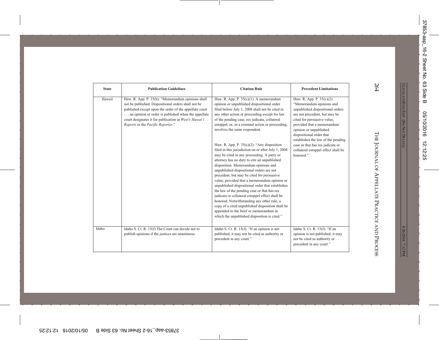| <b>State</b> | <b>Publication Guidelines</b>                                                                                                                                                                                                                                                                                           | <b>Citation Rule</b>                                                                                                                                                                                                                                                                                                                                                                                                                                                                                                                                                                                                                                                                                                                                                                                                                                                                                                                                                                                                                                                        | <b>Precedent Limitations</b>                                                                                                                                                                                                                                                                                                                                                |
|--------------|-------------------------------------------------------------------------------------------------------------------------------------------------------------------------------------------------------------------------------------------------------------------------------------------------------------------------|-----------------------------------------------------------------------------------------------------------------------------------------------------------------------------------------------------------------------------------------------------------------------------------------------------------------------------------------------------------------------------------------------------------------------------------------------------------------------------------------------------------------------------------------------------------------------------------------------------------------------------------------------------------------------------------------------------------------------------------------------------------------------------------------------------------------------------------------------------------------------------------------------------------------------------------------------------------------------------------------------------------------------------------------------------------------------------|-----------------------------------------------------------------------------------------------------------------------------------------------------------------------------------------------------------------------------------------------------------------------------------------------------------------------------------------------------------------------------|
| Hawaii       | Haw. R. App. P. 35(b): "Memorandum opinions shall<br>not be published. Dispositional orders shall not be<br>published except upon the order of the appellate court<br>an opinion or order is published when the appellate<br>court designates it for publication in West's Hawai'i<br>Reports or the Pacific Reporter." | Haw. R. App. P. $35(c)(1)$ : A memorandum<br>opinion or unpublished dispositional order<br>filed before July 1, 2008 shall not be cited in<br>any other action or proceeding except for law<br>of the pending case, res judicata, collateral<br>estoppel, or, in a criminal action or proceeding,<br>involves the same respondent.<br>Haw. R. App. P. $35(c)(2)$ : "Any disposition<br>filed in this jurisdiction on or after July 1, 2008<br>may be cited in any proceeding. A party or<br>attorney has no duty to cite an unpublished<br>disposition. Memorandum opinions and<br>unpublished dispositional orders are not<br>precedent, but may be cited for persuasive<br>value; provided that a memorandum opinion or<br>unpublished dispositional order that establishes<br>the law of the pending case or that has res<br>judicata or collateral estoppel effect shall be<br>honored. Notwithstanding any other rule, a<br>copy of a cited unpublished disposition shall be<br>appended to the brief or memorandum in<br>which the unpublished disposition is cited." | Haw. R. App. P. 35(c)(2):<br>"Memorandum opinions and<br>unpublished dispositional orders<br>are not precedent, but may be<br>cited for persuasive value;<br>provided that a memorandum<br>opinion or unpublished<br>dispositional order that<br>establishes the law of the pending<br>case or that has res judicata or<br>collateral estoppel effect shall be<br>honored." |
| Idaho        | Idaho S. Ct. R. 15(f) The Court can decide not to<br>publish opinions if the justices are unanimous.                                                                                                                                                                                                                    | Idaho S. Ct. R. 15(f): "If an opinion is not<br>published, it may not be cited as authority or<br>precedent in any court."                                                                                                                                                                                                                                                                                                                                                                                                                                                                                                                                                                                                                                                                                                                                                                                                                                                                                                                                                  | Idaho S. Ct. R. 15(f): "If an<br>opinion is not published, it may<br>not be cited as authority or<br>precedent in any court."                                                                                                                                                                                                                                               |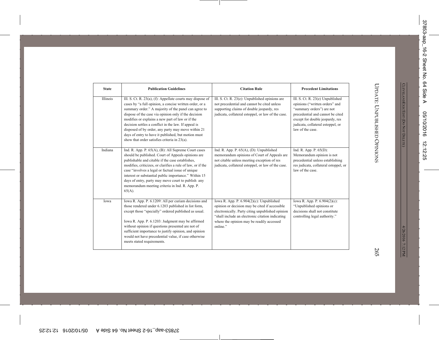| <b>State</b> | <b>Publication Guidelines</b>                                                                                                                                                                                                                                                                                                                                                                                                                                                                                  | <b>Citation Rule</b>                                                                                                                                                                                                                                           | <b>Precedent Limitations</b>                                                                                                                                                                                                    |
|--------------|----------------------------------------------------------------------------------------------------------------------------------------------------------------------------------------------------------------------------------------------------------------------------------------------------------------------------------------------------------------------------------------------------------------------------------------------------------------------------------------------------------------|----------------------------------------------------------------------------------------------------------------------------------------------------------------------------------------------------------------------------------------------------------------|---------------------------------------------------------------------------------------------------------------------------------------------------------------------------------------------------------------------------------|
| Illinois     | Ill. S. Ct. R. 23(a), (f): Appellate courts may dispose of<br>cases by "a full opinion, a concise written order, or a<br>summary order." A majority of the panel can agree to<br>dispose of the case via opinion only if the decision<br>modifies or explains a new part of law or if the<br>decision settles a conflict in the law. If appeal is<br>disposed of by order, any party may move within 21<br>days of entry to have it published, but motion must<br>show that order satisfies criteria in 23(a). | Ill. S. Ct. R. 23(e): Unpublished opinions are<br>not precedential and cannot be cited unless<br>supporting claims of double jeopardy, res<br>judicata, collateral estoppel, or law of the case.                                                               | Ill. S. Ct. R. 23(e) Unpublished<br>opinions ("written orders" and<br>"summary orders") are not<br>precedential and cannot be cited<br>except for double jeopardy, res<br>judicata, collateral estoppel, or<br>law of the case. |
| Indiana      | Ind. R. App. P. 65(A), (B): All Supreme Court cases<br>should be published. Court of Appeals opinions are<br>publishable and citable if the case establishes,<br>modifies, criticizes, or clarifies a rule of law, or if the<br>case "involves a legal or factual issue of unique<br>interest or substantial public importance." Within 15<br>days of entry, party may move court to publish any<br>memorandum meeting criteria in Ind. R. App. P.<br>$65(A)$ .                                                | Ind. R. App. P. $65(A)$ , (D): Unpublished<br>memorandum opinions of Court of Appeals are<br>not citable unless meeting exception of res<br>judicata, collateral estoppel, or law of the case.                                                                 | Ind. R. App. P. 65(D):<br>Memorandum opinion is not<br>precedential unless establishing<br>res judicata, collateral estoppel, or<br>law of the case.                                                                            |
| Iowa         | Iowa R. App. P. 6.1209: All per curiam decisions and<br>those rendered under 6.1203 published in list form,<br>except those "specially" ordered published as usual.<br>Iowa R. App. P. 6.1203: Judgment may be affirmed<br>without opinion if questions presented are not of<br>sufficient importance to justify opinion, and opinion<br>would not have precedential value, if case otherwise<br>meets stated requirements.                                                                                    | Iowa R. App. P. $6.904(2)(c)$ : Unpublished<br>opinion or decision may be cited if accessible<br>electronically. Party citing unpublished opinion<br>"shall include an electronic citation indicating<br>where the opinion may be readily accessed<br>online." | Iowa R. App. P. 6.904(2)(c):<br>"Unpublished opinions or<br>decisions shall not constitute<br>controlling legal authority."                                                                                                     |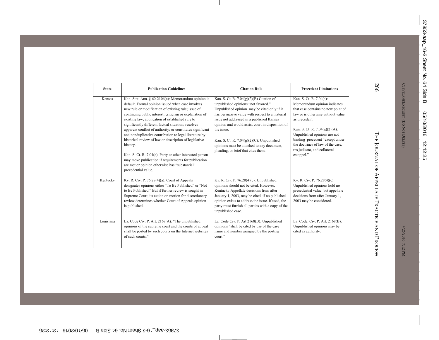| <b>State</b> | <b>Publication Guidelines</b>                                                                                                                                                                                                                                                                                                                                                                                                                                                                                                                                                                                                                                                                                                       | <b>Citation Rule</b>                                                                                                                                                                                                                                                                                                                                                                                                                    | <b>Precedent Limitations</b>                                                                                                                                                                                                                                                                                                               |
|--------------|-------------------------------------------------------------------------------------------------------------------------------------------------------------------------------------------------------------------------------------------------------------------------------------------------------------------------------------------------------------------------------------------------------------------------------------------------------------------------------------------------------------------------------------------------------------------------------------------------------------------------------------------------------------------------------------------------------------------------------------|-----------------------------------------------------------------------------------------------------------------------------------------------------------------------------------------------------------------------------------------------------------------------------------------------------------------------------------------------------------------------------------------------------------------------------------------|--------------------------------------------------------------------------------------------------------------------------------------------------------------------------------------------------------------------------------------------------------------------------------------------------------------------------------------------|
| Kansas       | Kan. Stat. Ann. $\S$ 60-2106(a): Memorandum opinion is<br>default. Formal opinion issued when case involves<br>new rule or modification of existing rule; issue of<br>continuing public interest; criticism or explanation of<br>existing law; application of established rule to<br>significantly different factual situation; resolves<br>apparent conflict of authority; or constitutes significant<br>and nonduplicative contribution to legal literature by<br>historical review of law or description of legislative<br>history.<br>Kan. S. Ct. R. 7.04(e): Party or other interested person<br>may move publication if requirements for publication<br>are met or opinion otherwise has "substantial"<br>precedential value. | Kan. S. Ct. R. $7.04(g)(2)(B)$ Citation of<br>unpublished opinions "not favored."<br>Unpublished opinion may be cited only if it<br>has persuasive value with respect to a material<br>issue not addressed in a published Kansas<br>opinion and would assist court in disposition of<br>the issue.<br>Kan. S. Ct. R. $7.04(g)(2)(C)$ : Unpublished<br>opinions must be attached to any document,<br>pleading, or brief that cites them. | Kan. S. Ct. R. 7.04(a):<br>Memorandum opinion indicates<br>that case contains no new point of<br>law or is otherwise without value<br>as precedent.<br>Kan. S. Ct. R. 7.04(g)(2)(A):<br>Unpublished opinions are not<br>binding precedent "except under<br>the doctrines of law of the case,<br>res judicata, and collateral<br>estoppel." |
| Kentucky     | Ky. R. Civ. P. $76.28(4)(a)$ : Court of Appeals<br>designates opinions either "To Be Published" or "Not<br>to Be Published." But if further review is sought in<br>Supreme Court, its action on motion for discretionary<br>review determines whether Court of Appeals opinion<br>is published.                                                                                                                                                                                                                                                                                                                                                                                                                                     | Ky. R. Civ. P. $76.28(4)(c)$ : Unpublished<br>opinions should not be cited. However,<br>Kentucky Appellate decisions from after<br>January 1, 2003, may be cited if no published<br>opinion exists to address the issue. If used, the<br>party must furnish all parties with a copy of the<br>unpublished case.                                                                                                                         | Ky. R. Civ. P. 76.28(4)(c):<br>Unpublished opinions hold no<br>precedential value, but appellate<br>decisions from after January 1,<br>2003 may be considered.                                                                                                                                                                             |
| Louisiana    | La. Code Civ. P. Art. 2168(A): "The unpublished<br>opinions of the supreme court and the courts of appeal<br>shall be posted by such courts on the Internet websites<br>of such courts."                                                                                                                                                                                                                                                                                                                                                                                                                                                                                                                                            | La. Code Civ. P. Art 2168(B): Unpublished<br>opinions "shall be cited by use of the case<br>name and number assigned by the posting<br>court."                                                                                                                                                                                                                                                                                          | La. Code. Civ. P. Art. 2168(B):<br>Unpublished opinions may be<br>cited as authority.                                                                                                                                                                                                                                                      |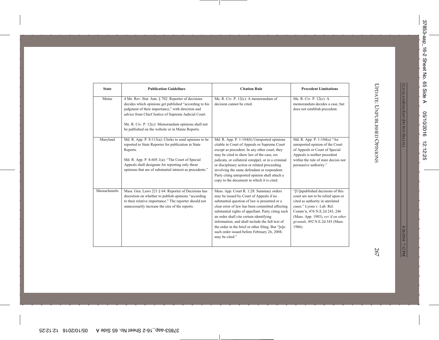| <b>State</b>  | <b>Publication Guidelines</b>                                                                                                                                                                                                                                                                                                        | <b>Citation Rule</b>                                                                                                                                                                                                                                                                                                                                                                                                                                              | <b>Precedent Limitations</b>                                                                                                                                                                                                                            |
|---------------|--------------------------------------------------------------------------------------------------------------------------------------------------------------------------------------------------------------------------------------------------------------------------------------------------------------------------------------|-------------------------------------------------------------------------------------------------------------------------------------------------------------------------------------------------------------------------------------------------------------------------------------------------------------------------------------------------------------------------------------------------------------------------------------------------------------------|---------------------------------------------------------------------------------------------------------------------------------------------------------------------------------------------------------------------------------------------------------|
| Maine         | 4 Me. Rev. Stat. Ann. § 702: Reporter of decisions<br>decides which opinions get published "according to his<br>judgment of their importance," with direction and<br>advice from Chief Justice of Supreme Judicial Court.<br>Me. R. Civ. P. 12(c): Memorandum opinions shall not<br>be published on the website or in Maine Reports. | Me. R. Civ. P. 12(c): A memorandum of<br>decision cannot be cited.                                                                                                                                                                                                                                                                                                                                                                                                | Me. R. Civ. P. 12(c): A<br>memorandum decides a case, but<br>does not establish precedent.                                                                                                                                                              |
| Maryland      | Md. R. App. P. $8-113(a)$ : Clerks to send opinions to be<br>reported to State Reporter for publication in State<br>Reports.<br>Md. R. App. P. 8-605.1(a): "The Court of Special<br>Appeals shall designate for reporting only those<br>opinions that are of substantial interest as precedents."                                    | Md. R. App. P. 1-104(b) Unreported opinions<br>citable in Court of Appeals or Supreme Court<br>except as precedent. In any other court, they<br>may be cited to show law of the case, res<br>judicata, or collateral estoppel, or in a criminal<br>or disciplinary action or related proceeding<br>involving the same defendant or respondent.<br>Party citing unreported opinion shall attach a<br>copy to the document in which it is cited.                    | Md. R. App. P. 1-104(a) "An<br>unreported opinion of the Court<br>of Appeals or Court of Special<br>Appeals is neither precedent<br>within the rule of stare decisis nor<br>persuasive authority."                                                      |
| Massachusetts | Mass. Gen. Laws 221 § 64: Reporter of Decisions has<br>discretion on whether to publish opinions "according<br>to their relative importance." The reporter should not<br>unnecessarily increase the size of the reports.                                                                                                             | Mass. App. Court R. 1:28: Summary orders<br>may be issued by Court of Appeals if no<br>substantial question of law is presented or a<br>clear error of law has been committed affecting<br>substantial rights of appellant. Party citing such<br>an order shall cite certain identifying<br>information, and shall include the full text of<br>the order in the brief or other filing. But "[n]o<br>such order issued before February 26, 2008,<br>may be cited." | "[U]npublished decisions of this<br>court are not to be relied upon or<br>cited as authority in unrelated<br>cases." Lyons v. Lab. Rel.<br>Comm'n, 476 N.E.2d 243, 246<br>(Mass. App. 1985), rev'd on other<br>grounds, 492 N.E.2d 343 (Mass.<br>1986). |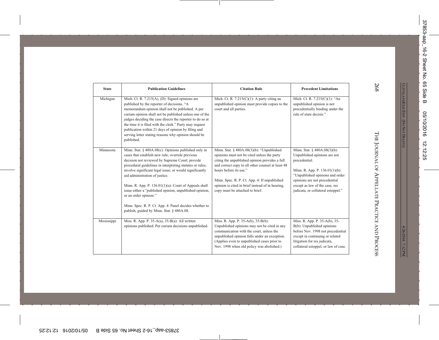| <b>State</b> | <b>Publication Guidelines</b>                                                                                                                                                                                                                                                                                                                                                                                                                                                                                                                                               | <b>Citation Rule</b>                                                                                                                                                                                                                                                                                                                                               | <b>Precedent Limitations</b>                                                                                                                                                                                                                                  |
|--------------|-----------------------------------------------------------------------------------------------------------------------------------------------------------------------------------------------------------------------------------------------------------------------------------------------------------------------------------------------------------------------------------------------------------------------------------------------------------------------------------------------------------------------------------------------------------------------------|--------------------------------------------------------------------------------------------------------------------------------------------------------------------------------------------------------------------------------------------------------------------------------------------------------------------------------------------------------------------|---------------------------------------------------------------------------------------------------------------------------------------------------------------------------------------------------------------------------------------------------------------|
| Michigan     | Mich. Ct. R. $7.215(A)$ , (D): Signed opinions are<br>published by the reporter of decisions. "A<br>memorandum opinion shall not be published. A per<br>curiam opinion shall not be published unless one of the<br>judges deciding the case directs the reporter to do so at<br>the time it is filed with the clerk." Party may request<br>publication within 21 days of opinion by filing and<br>serving letter stating reasons why opinion should be<br>published.                                                                                                        | Mich. Ct. R. $7.215(C)(1)$ : A party citing an<br>unpublished opinion must provide copies to the<br>court and all parties.                                                                                                                                                                                                                                         | Mich. Ct. R. 7.215(C)(1): "An<br>unpublished opinion is not<br>precedentially binding under the<br>rule of stare decisis."                                                                                                                                    |
| Minnesota    | Minn. Stat. § 480A.08(c): Opinions published only in<br>cases that establish new rule; overrule previous<br>decision not reviewed by Supreme Court; provide<br>procedural guidelines in interpreting statutes or rules;<br>involve significant legal issue; or would significantly<br>aid administration of justice.<br>Minn. R. App. P. $136.01(1)(a)$ : Court of Appeals shall<br>issue either a "published opinion, unpublished opinion,<br>or an order opinion."<br>Minn. Spec. R. P. Ct. App. 4: Panel decides whether to<br>publish, guided by Minn. Stat. § 480A.08. | Minn. Stat. $§$ 480A.08(3)(b): "Unpublished<br>opinions must not be cited unless the party<br>citing the unpublished opinion provides a full<br>and correct copy to all other counsel at least 48<br>hours before its use."<br>Minn. Spec. R. P. Ct. App. 4: If unpublished<br>opinion is cited in brief instead of in hearing,<br>copy must be attached to brief. | Minn. Stat. $§$ 480A.08(3)(b):<br>Unpublished opinions are not<br>precedential.<br>Minn. R. App. P. 136.01(1)(b):<br>"Unpublished opinions and order<br>opinions are not precedential<br>except as law of the case, res<br>judicata, or collateral estoppel." |
| Mississippi  | Miss. R. App. P. $35-A(a)$ , $35-B(a)$ : All written<br>opinions published. Per curiam decisions unpublished.                                                                                                                                                                                                                                                                                                                                                                                                                                                               | Miss. R. App. P. 35-A(b), 35-B(b):<br>Unpublished opinions may not be cited in any<br>communication with the court, unless the<br>unpublished opinion falls under an exception.<br>(Applies even to unpublished cases prior to<br>Nov. 1998 when old policy was abolished.)                                                                                        | Miss. R. App. P. 35-A(b), 35-<br>$B(b)$ : Unpublished opinions<br>before Nov. 1998 not precedential<br>except in continuing or related<br>litigation for res judicata,<br>collateral estoppel, or law of case.                                                |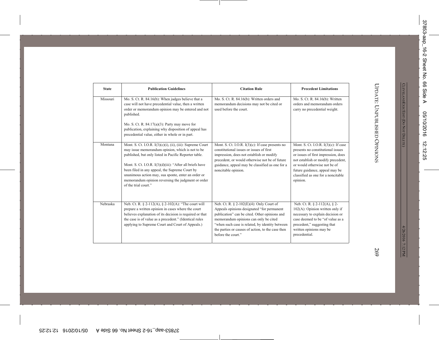| <b>State</b> | <b>Publication Guidelines</b>                                                                                                                                                                                                                                                                                                                                                                                              | <b>Citation Rule</b>                                                                                                                                                                                                                                                                                              | <b>Precedent Limitations</b>                                                                                                                                                                                                                                                  |
|--------------|----------------------------------------------------------------------------------------------------------------------------------------------------------------------------------------------------------------------------------------------------------------------------------------------------------------------------------------------------------------------------------------------------------------------------|-------------------------------------------------------------------------------------------------------------------------------------------------------------------------------------------------------------------------------------------------------------------------------------------------------------------|-------------------------------------------------------------------------------------------------------------------------------------------------------------------------------------------------------------------------------------------------------------------------------|
| Missouri     | Mo. S. Ct. R. 84.16(b): When judges believe that a<br>case will not have precedential value, then a written<br>order or memorandum opinion may be entered and not<br>published.<br>Mo. S. Ct. R. $84.17(a)(3)$ : Party may move for<br>publication, explaining why disposition of appeal has<br>precedential value, either in whole or in part.                                                                            | Mo. S. Ct. R. 84.16(b): Written orders and<br>memorandum decisions may not be cited or<br>used before the court.                                                                                                                                                                                                  | Mo. S. Ct. R. 84.16(b): Written<br>orders and memorandum orders<br>carry no precedential weight.                                                                                                                                                                              |
| Montana      | Mont. S. Ct. I.O.R. I(3)(c)(i), (ii), (iii): Supreme Court<br>may issue memorandum opinion, which is not to be<br>published, but only listed in Pacific Reporter table.<br>Mont. S. Ct. I.O.R. I(3)(d)(iii): "After all briefs have<br>been filed in any appeal, the Supreme Court by<br>unanimous action may, sua sponte, enter an order or<br>memorandum opinion reversing the judgment or order<br>of the trial court." | Mont. S. Ct. I.O.R. $I(3)(c)$ : If case presents no<br>constitutional issues or issues of first<br>impression, does not establish or modify<br>precedent, or would otherwise not be of future<br>guidance, appeal may be classified as one for a<br>noncitable opinion.                                           | Mont. S. Ct. I.O.R. $I(3)(c)$ : If case<br>presents no constitutional issues<br>or issues of first impression, does<br>not establish or modify precedent,<br>or would otherwise not be of<br>future guidance, appeal may be<br>classified as one for a noncitable<br>opinion. |
| Nebraska     | Neb. Ct. R. § 2-112(A), § 2-102(A): "The court will<br>prepare a written opinion in cases where the court<br>believes explanation of its decision is required or that<br>the case is of value as a precedent." (Identical rules<br>applying to Supreme Court and Court of Appeals.)                                                                                                                                        | Neb. Ct. R. $\S$ 2-102(E)(4): Only Court of<br>Appeals opinions designated "for permanent<br>publication" can be cited. Other opinions and<br>memorandum opinions can only be cited<br>"when such case is related, by identity between<br>the parties or causes of action, to the case then<br>before the court." | Neb. Ct. R. § 2-112(A), § 2-<br>$102(A)$ : Opinion written only if<br>necessary to explain decision or<br>case deemed to be "of value as a<br>precedent," suggesting that<br>written opinions may be<br>precedential.                                                         |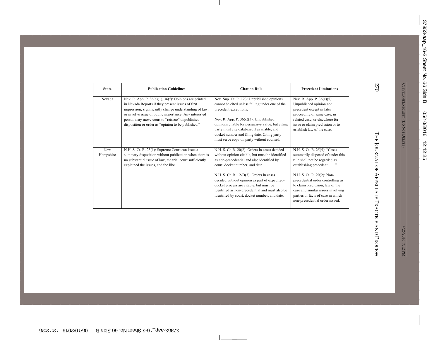| <b>State</b>     | <b>Publication Guidelines</b>                                                                                                                                                                                                                                                                                                               | <b>Citation Rule</b>                                                                                                                                                                                                                                                                                                                                                                                                         | <b>Precedent Limitations</b>                                                                                                                                                                                                                                                                                                                   |
|------------------|---------------------------------------------------------------------------------------------------------------------------------------------------------------------------------------------------------------------------------------------------------------------------------------------------------------------------------------------|------------------------------------------------------------------------------------------------------------------------------------------------------------------------------------------------------------------------------------------------------------------------------------------------------------------------------------------------------------------------------------------------------------------------------|------------------------------------------------------------------------------------------------------------------------------------------------------------------------------------------------------------------------------------------------------------------------------------------------------------------------------------------------|
| Nevada           | Nev. R. App. P. $36(c)(1)$ , $36(f)$ : Opinions are printed<br>in Nevada Reports if they present issues of first<br>impression, significantly change understanding of law,<br>or involve issue of public importance. Any interested<br>person may move court to "reissue" unpublished<br>disposition or order as "opinion to be published." | Nev. Sup. Ct. R. 123: Unpublished opinions<br>cannot be cited unless falling under one of the<br>precedent exceptions.<br>Nev. R. App. P. $36(c)(3)$ : Unpublished<br>opinions citable for persuasive value, but citing<br>party must cite database, if available, and<br>docket number and filing date. Citing party<br>must serve copy on party without counsel.                                                           | Nev. R. App. P. 36(c)(5):<br>Unpublished opinion not<br>precedent except in later<br>proceeding of same case, in<br>related case, or elsewhere for<br>issue or claim preclusion or to<br>establish law of the case.                                                                                                                            |
| New<br>Hampshire | N.H. S. Ct. R. 25(1): Supreme Court can issue a<br>summary disposition without publication when there is<br>no substantial issue of law, the trial court sufficiently<br>explained the issues, and the like.                                                                                                                                | N.H. S. Ct. R. 20(2): Orders in cases decided<br>without opinion citable, but must be identified<br>as non-precedential and also identified by<br>court, docket number, and date.<br>N.H. S. Ct. R. 12-D(3): Orders in cases<br>decided without opinion as part of expedited-<br>docket process are citable, but must be<br>identified as non-precedential and must also be<br>identified by court, docket number, and date. | N.H. S. Ct. R. 25(5): "Cases<br>summarily disposed of under this<br>rule shall not be regarded as<br>establishing precedent"<br>N.H. S. Ct. R. 20(2): Non-<br>precedential order controlling as<br>to claim preclusion, law of the<br>case and similar issues involving<br>parties or facts of case in which<br>non-precedential order issued. |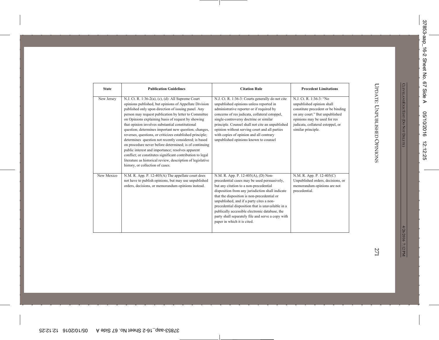| <b>State</b> | <b>Publication Guidelines</b>                                                                                                                                                                                                                                                                                                                                                                                                                                                                                                                                                                                                                                                                                                                                                                         | <b>Citation Rule</b>                                                                                                                                                                                                                                                                                                                                                                                                                                                    | <b>Precedent Limitations</b>                                                                                                                                                                                            |
|--------------|-------------------------------------------------------------------------------------------------------------------------------------------------------------------------------------------------------------------------------------------------------------------------------------------------------------------------------------------------------------------------------------------------------------------------------------------------------------------------------------------------------------------------------------------------------------------------------------------------------------------------------------------------------------------------------------------------------------------------------------------------------------------------------------------------------|-------------------------------------------------------------------------------------------------------------------------------------------------------------------------------------------------------------------------------------------------------------------------------------------------------------------------------------------------------------------------------------------------------------------------------------------------------------------------|-------------------------------------------------------------------------------------------------------------------------------------------------------------------------------------------------------------------------|
| New Jersey   | N.J. Ct. R. 1:36-2(a), (c), (d): All Supreme Court<br>opinions published, but opinions of Appellate Division<br>published only upon direction of issuing panel. Any<br>person may request publication by letter to Committee<br>on Opinions explaining basis of request by showing<br>that opinion involves substantial constitutional<br>question; determines important new question; changes,<br>reverses, questions, or criticizes established principle;<br>determines question not recently considered; is based<br>on procedure never before determined; is of continuing<br>public interest and importance; resolves apparent<br>conflict; or constitutes significant contribution to legal<br>literature as historical review, description of legislative<br>history, or collection of cases. | N.J. Ct. R. 1:36-3: Courts generally do not cite<br>unpublished opinions unless reported in<br>administrative reporter or if required by<br>concerns of res judicata, collateral estoppel,<br>single-controversy doctrine or similar<br>principle. Counsel shall not cite an unpublished<br>opinion without serving court and all parties<br>with copies of opinion and all contrary<br>unpublished opinions known to counsel                                           | N.J. Ct. R. 1:36-3: "No<br>unpublished opinion shall<br>constitute precedent or be binding<br>on any court." But unpublished<br>opinions may be used for res<br>judicata, collateral estoppel, or<br>similar principle. |
| New Mexico   | N.M. R. App. P. 12-405(A) The appellate court does<br>not have to publish opinions, but may use unpublished<br>orders, decisions, or memorandum opinions instead.                                                                                                                                                                                                                                                                                                                                                                                                                                                                                                                                                                                                                                     | N.M. R. App. P. 12-405(A), (D) Non-<br>precedential cases may be used persuasively,<br>but any citation to a non-precedential<br>disposition from any jurisdiction shall indicate<br>that the disposition is non-precedential or<br>unpublished, and if a party cites a non-<br>precedential disposition that is unavailable in a<br>publically accessible electronic database, the<br>party shall separately file and serve a copy with<br>paper in which it is cited. | N.M. R. App. P. 12-405(C)<br>Unpublished orders, decisions, or<br>memorandum opinions are not<br>precedential.                                                                                                          |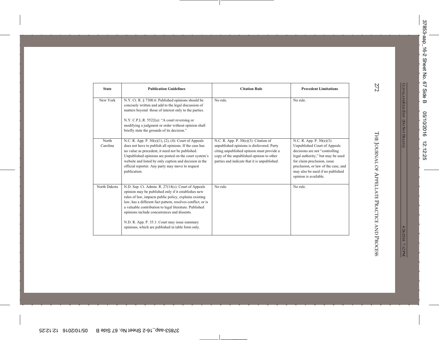| <b>State</b>      | <b>Publication Guidelines</b>                                                                                                                                                                                                                                                                                                                                                                                                                     | <b>Citation Rule</b>                                                                                                                                                                                                        | <b>Precedent Limitations</b>                                                                                                                                                                                                                                         |
|-------------------|---------------------------------------------------------------------------------------------------------------------------------------------------------------------------------------------------------------------------------------------------------------------------------------------------------------------------------------------------------------------------------------------------------------------------------------------------|-----------------------------------------------------------------------------------------------------------------------------------------------------------------------------------------------------------------------------|----------------------------------------------------------------------------------------------------------------------------------------------------------------------------------------------------------------------------------------------------------------------|
| New York          | N.Y. Ct. R. § 7300.6: Published opinions should be<br>concisely written and add to the legal discussion of<br>matters beyond those of interest only to the parties.<br>N.Y. C.P.L.R. 5522(a): "A court reversing or<br>modifying a judgment or order without opinion shall<br>briefly state the grounds of its decision."                                                                                                                         | No rule.                                                                                                                                                                                                                    | No rule.                                                                                                                                                                                                                                                             |
| North<br>Carolina | N.C. R. App. P. 30(e)(1), (2), (4): Court of Appeals<br>does not have to publish all opinions. If the case has<br>no value as precedent, it need not be published.<br>Unpublished opinions are posted on the court system's<br>website and listed by only caption and decision in the<br>official reporter. Any party may move to request<br>publication.                                                                                         | N.C. R. App. P. 30(e)(3): Citation of<br>unpublished opinions is disfavored. Party<br>citing unpublished opinion must provide a<br>copy of the unpublished opinion to other<br>parties and indicate that it is unpublished. | N.C. R. App. P. 30(e)(3):<br>Unpublished Court of Appeals<br>decisions are not "controlling"<br>legal authority," but may be used<br>for claim preclusion, issue<br>preclusion, or law of the case, and<br>may also be used if no published<br>opinion is available. |
| North Dakota      | N.D. Sup. Ct. Admin. R. 27(14(c): Court of Appeals<br>opinion may be published only if it establishes new<br>rules of law, impacts public policy, explains existing<br>law, has a different fact pattern, resolves conflict, or is<br>a valuable contribution to legal literature. Published<br>opinions include concurrences and dissents.<br>N.D. R. App. P. 35.1: Court may issue summary<br>opinions, which are published in table form only. | No rule.                                                                                                                                                                                                                    | No rule.                                                                                                                                                                                                                                                             |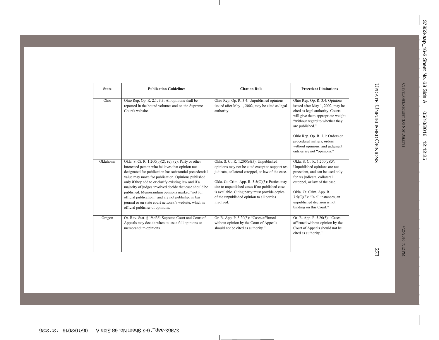| <b>State</b> | <b>Publication Guidelines</b>                                                                                                                                                                                                                                                                                                                                                                                                                                                                                                                    | <b>Citation Rule</b>                                                                                                                                                                                                                                                                                                                                              | <b>Precedent Limitations</b>                                                                                                                                                                                                                                                                 |
|--------------|--------------------------------------------------------------------------------------------------------------------------------------------------------------------------------------------------------------------------------------------------------------------------------------------------------------------------------------------------------------------------------------------------------------------------------------------------------------------------------------------------------------------------------------------------|-------------------------------------------------------------------------------------------------------------------------------------------------------------------------------------------------------------------------------------------------------------------------------------------------------------------------------------------------------------------|----------------------------------------------------------------------------------------------------------------------------------------------------------------------------------------------------------------------------------------------------------------------------------------------|
| Ohio         | Ohio Rep. Op. R. 2.1, 3.3: All opinions shall be<br>reported in the bound volumes and on the Supreme<br>Court's website.                                                                                                                                                                                                                                                                                                                                                                                                                         | Ohio Rep. Op. R. 3.4: Unpublished opinions<br>issued after May 1, 2002, may be cited as legal<br>authority.                                                                                                                                                                                                                                                       | Ohio Rep. Op. R. 3.4: Opinions<br>issued after May 1, 2002, may be<br>cited as legal authority. Courts<br>will give them appropriate weight<br>"without regard to whether they<br>are published."                                                                                            |
|              |                                                                                                                                                                                                                                                                                                                                                                                                                                                                                                                                                  |                                                                                                                                                                                                                                                                                                                                                                   | Ohio Rep. Op. R. 3.1: Orders on<br>procedural matters, orders<br>without opinions, and judgment<br>entries are not "opinions."                                                                                                                                                               |
| Oklahoma     | Okla. S. Ct. R. 1.200(b)(2), (c), (e): Party or other<br>interested person who believes that opinion not<br>designated for publication has substantial precedential<br>value may move for publication. Opinions published<br>only if they add to or clarify existing law and if a<br>majority of judges involved decide that case should be<br>published. Memorandum opinions marked "not for<br>official publication," and are not published in bar<br>journal or on state court network's website, which is<br>official publisher of opinions. | Okla. S. Ct. R. 1.200(c)(5): Unpublished<br>opinions may not be cited except to support res<br>judicata, collateral estoppel, or law of the case.<br>Okla. Ct. Crim. App. R. 3.5(C)(3): Parties may<br>cite to unpublished cases if no published case<br>is available. Citing party must provide copies<br>of the unpublished opinion to all parties<br>involved. | Okla. S. Ct. R. 1.200(c)(5):<br>Unpublished opinions are not<br>precedent, and can be used only<br>for res judicata, collateral<br>estoppel, or law of the case.<br>Okla. Ct. Crim. App. R.<br>$3.5(C)(3)$ : "In all instances, an<br>unpublished decision is not<br>binding on this Court." |
| Oregon       | Or. Rev. Stat. § 19.435: Supreme Court and Court of<br>Appeals may decide when to issue full opinions or<br>memorandum opinions.                                                                                                                                                                                                                                                                                                                                                                                                                 | Or. R. App. P. 5.20(5): "Cases affirmed<br>without opinion by the Court of Appeals<br>should not be cited as authority."                                                                                                                                                                                                                                          | Or. R. App. P. 5.20(5): "Cases<br>affirmed without opinion by the<br>Court of Appeals should not be<br>cited as authority."                                                                                                                                                                  |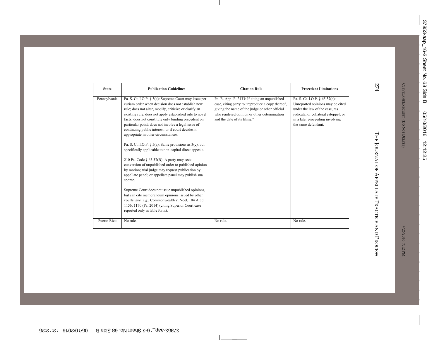| Pennsylvania<br>Pa. S. Ct. I.O.P. § 65.37(a):<br>Pa. S. Ct. I.O.P. § 3(c): Supreme Court may issue per<br>Pa. R. App. P. 2133: If citing an unpublished<br>curiam order when decision does not establish new<br>case, citing party to "reproduce a copy thereof,<br>Unreported opinions may be cited<br>giving the name of the judge or other official<br>under the law of the case, res<br>rule; does not alter, modify, criticize or clarify an<br>existing rule; does not apply established rule to novel<br>who rendered opinion or other determination<br>judicata, or collateral estoppel; or<br>facts; does not constitute only binding precedent on<br>and the date of its filing."<br>in a later proceeding involving<br>particular point; does not involve a legal issue of<br>the same defendant.<br>continuing public interest; or if court decides it<br>appropriate in other circumstances.<br>Pa. S. Ct. I.O.P. $\S$ 5(a): Same provisions as 3(c), but<br>specifically applicable to non-capital direct appeals.<br>210 Pa. Code § $65.37(B)$ : A party may seek<br>conversion of unpublished order to published opinion<br>by motion; trial judge may request publication by<br>appellate panel; or appellate panel may publish sua<br>sponte.<br>Supreme Court does not issue unpublished opinions,<br>but can cite memorandum opinions issued by other |
|---------------------------------------------------------------------------------------------------------------------------------------------------------------------------------------------------------------------------------------------------------------------------------------------------------------------------------------------------------------------------------------------------------------------------------------------------------------------------------------------------------------------------------------------------------------------------------------------------------------------------------------------------------------------------------------------------------------------------------------------------------------------------------------------------------------------------------------------------------------------------------------------------------------------------------------------------------------------------------------------------------------------------------------------------------------------------------------------------------------------------------------------------------------------------------------------------------------------------------------------------------------------------------------------------------------------------------------------------------------------------|
| courts. See, e.g., Commonwealth v. Noel, 104 A.3d<br>1156, 1170 (Pa. 2014) (citing Superior Court case                                                                                                                                                                                                                                                                                                                                                                                                                                                                                                                                                                                                                                                                                                                                                                                                                                                                                                                                                                                                                                                                                                                                                                                                                                                                    |
| reported only in table form).<br>Puerto Rico<br>No rule.<br>No rule.<br>No rule.                                                                                                                                                                                                                                                                                                                                                                                                                                                                                                                                                                                                                                                                                                                                                                                                                                                                                                                                                                                                                                                                                                                                                                                                                                                                                          |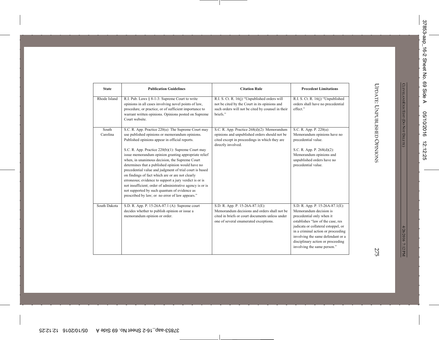| <b>State</b>      | <b>Publication Guidelines</b>                                                                                                                                                                                                                                                                                                                                                                                                                                                                                                                                                                                                                                                                                         | <b>Citation Rule</b>                                                                                                                                                        | <b>Precedent Limitations</b>                                                                                                                                                                                                                                                                                      |
|-------------------|-----------------------------------------------------------------------------------------------------------------------------------------------------------------------------------------------------------------------------------------------------------------------------------------------------------------------------------------------------------------------------------------------------------------------------------------------------------------------------------------------------------------------------------------------------------------------------------------------------------------------------------------------------------------------------------------------------------------------|-----------------------------------------------------------------------------------------------------------------------------------------------------------------------------|-------------------------------------------------------------------------------------------------------------------------------------------------------------------------------------------------------------------------------------------------------------------------------------------------------------------|
| Rhode Island      | R.I. Pub. Laws § 8-1-3: Supreme Court to write<br>opinions in all cases involving novel points of law,<br>procedure, or practice, or of sufficient importance to<br>warrant written opinions. Opinions posted on Supreme<br>Court website.                                                                                                                                                                                                                                                                                                                                                                                                                                                                            | R.I. S. Ct. R. 16(j) "Unpublished orders will<br>not be cited by the Court in its opinions and<br>such orders will not be cited by counsel in their<br>briefs."             | R.I. S. Ct. R. 16(j) "Unpublished<br>orders shall have no precedential<br>effect."                                                                                                                                                                                                                                |
| South<br>Carolina | S.C. R. App. Practice 220(a): The Supreme Court may<br>use published opinions or memorandum opinions.<br>Published opinions appear in official reports.<br>S.C. R. App. Practice 220(b)(1): Supreme Court may<br>issue memorandum opinion granting appropriate relief<br>when, in unanimous decision, the Supreme Court<br>determines that a published opinion would have no<br>precedential value and judgment of trial court is based<br>on findings of fact which are or are not clearly<br>erroneous; evidence to support a jury verdict is or is<br>not insufficient; order of administrative agency is or is<br>not supported by such quantum of evidence as<br>prescribed by law; or no error of law appears." | S.C. R. App. Practice 268(d)(2): Memorandum<br>opinions and unpublished orders should not be<br>cited except in proceedings in which they are<br>directly involved.         | S.C. R. App. P. 220(a):<br>Memorandum opinions have no<br>precedential value.<br>S.C. R. App. P. 268(d)(2):<br>Memorandum opinions and<br>unpublished orders have no<br>precedential value.                                                                                                                       |
| South Dakota      | S.D. R. App. P. 15-26A-87.1 (A): Supreme court<br>decides whether to publish opinion or issue a<br>memorandum opinion or order.                                                                                                                                                                                                                                                                                                                                                                                                                                                                                                                                                                                       | S.D. R. App. P. 15-26A-87.1(E):<br>Memorandum decisions and orders shall not be<br>cited in briefs or court documents unless under<br>one of several enumerated exceptions. | S.D. R. App. P. 15-26A-87.1(E):<br>Memorandum decision is<br>precedential only when it<br>establishes "law of the case, res<br>judicata or collateral estoppel, or<br>in a criminal action or proceeding<br>involving the same defendant or a<br>disciplinary action or proceeding<br>involving the same person." |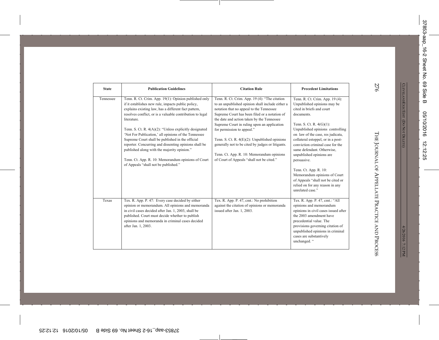| <b>State</b> | <b>Publication Guidelines</b>                                                                                                                                                                                                                                                                                                                                                                                                                                                                                                                                                                                                  | <b>Citation Rule</b>                                                                                                                                                                                                                                                                                                                                                                                                                                                                                                      | <b>Precedent Limitations</b>                                                                                                                                                                                                                                                                                                                                                                                                                                                                                              |
|--------------|--------------------------------------------------------------------------------------------------------------------------------------------------------------------------------------------------------------------------------------------------------------------------------------------------------------------------------------------------------------------------------------------------------------------------------------------------------------------------------------------------------------------------------------------------------------------------------------------------------------------------------|---------------------------------------------------------------------------------------------------------------------------------------------------------------------------------------------------------------------------------------------------------------------------------------------------------------------------------------------------------------------------------------------------------------------------------------------------------------------------------------------------------------------------|---------------------------------------------------------------------------------------------------------------------------------------------------------------------------------------------------------------------------------------------------------------------------------------------------------------------------------------------------------------------------------------------------------------------------------------------------------------------------------------------------------------------------|
| Tennessee    | Tenn. R. Ct. Crim. App. 19(1): Opinion published only<br>if it establishes new rule, impacts public policy,<br>explains existing law, has a different fact pattern,<br>resolves conflict, or is a valuable contribution to legal<br>literature.<br>Tenn. S. Ct. R. $4(A)(2)$ : "Unless explicitly designated<br>'Not For Publication,' all opinions of the Tennessee<br>Supreme Court shall be published in the official<br>reporter. Concurring and dissenting opinions shall be<br>published along with the majority opinion."<br>Tenn. Ct. App. R. 10: Memorandum opinions of Court<br>of Appeals "shall not be published." | Tenn. R. Ct. Crim. App. 19 (4): "The citation<br>to an unpublished opinion shall include either a<br>notation that no appeal to the Tennessee<br>Supreme Court has been filed or a notation of<br>the date and action taken by the Tennessee<br>Supreme Court in ruling upon an application<br>for permission to appeal."<br>Tenn. S. Ct. R. 4(E)(2): Unpublished opinions<br>generally not to be cited by judges or litigants.<br>Tenn. Ct. App. R. 10: Memorandum opinions<br>of Court of Appeals "shall not be cited." | Tenn. R. Ct. Crim. App. 19 (4):<br>Unpublished opinions may be<br>cited in briefs and court<br>documents.<br>Tenn. S. Ct. R. $4(G)(1)$ :<br>Unpublished opinions controlling<br>on law of the case, res judicata,<br>collateral estoppel, or in a post-<br>conviction criminal case for the<br>same defendant. Otherwise,<br>unpublished opinions are<br>persuasive.<br>Tenn. Ct. App. R. 10:<br>Memorandum opinions of Court<br>of Appeals "shall not be cited or<br>relied on for any reason in any<br>unrelated case." |
| Texas        | Tex. R. App. P. 47: Every case decided by either<br>opinion or memorandum. All opinions and memoranda<br>in civil cases decided after Jan. 1, 2003, shall be<br>published. Court must decide whether to publish<br>opinions and memoranda in criminal cases decided<br>after Jan. 1, 2003.                                                                                                                                                                                                                                                                                                                                     | Tex. R. App. P. 47, cmt.: No prohibition<br>against the citation of opinions or memoranda<br>issued after Jan. 1, 2003.                                                                                                                                                                                                                                                                                                                                                                                                   | Tex. R. App. P. 47, cmt.: "All<br>opinions and memorandum<br>opinions in civil cases issued after<br>the 2003 amendment have<br>precedential value. The<br>provisions governing citation of<br>unpublished opinions in criminal<br>cases are substantively<br>unchanged. "                                                                                                                                                                                                                                                |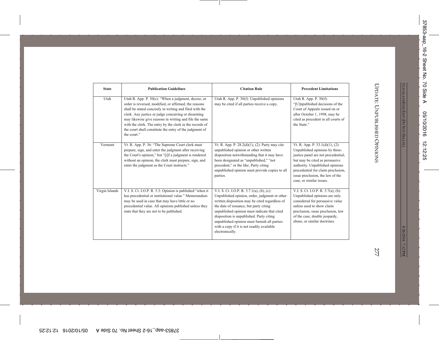| <b>State</b>   | <b>Publication Guidelines</b>                                                                                                                                                                                                                                                                                                                                                                                                      | <b>Citation Rule</b>                                                                                                                                                                                                                                                                                                                                                                                | <b>Precedent Limitations</b>                                                                                                                                                                                                                                                        |
|----------------|------------------------------------------------------------------------------------------------------------------------------------------------------------------------------------------------------------------------------------------------------------------------------------------------------------------------------------------------------------------------------------------------------------------------------------|-----------------------------------------------------------------------------------------------------------------------------------------------------------------------------------------------------------------------------------------------------------------------------------------------------------------------------------------------------------------------------------------------------|-------------------------------------------------------------------------------------------------------------------------------------------------------------------------------------------------------------------------------------------------------------------------------------|
| Utah           | Utah R. App. P. $30(c)$ : "When a judgment, decree, or<br>order is reversed, modified, or affirmed, the reasons<br>shall be stated concisely in writing and filed with the<br>clerk. Any justice or judge concurring or dissenting<br>may likewise give reasons in writing and file the same<br>with the clerk. The entry by the clerk in the records of<br>the court shall constitute the entry of the judgment of<br>the court." | Utah R. App. P. 30(f): Unpublished opinions<br>may be cited if all parties receive a copy.                                                                                                                                                                                                                                                                                                          | Utah R. App. P. 30(f):<br>"[U]npublished decisions of the<br>Court of Appeals issued on or<br>after October 1, 1998, may be<br>cited as precedent in all courts of<br>the State."                                                                                                   |
| Vermont        | Vt. R. App. P. 36: "The Supreme Court clerk must<br>prepare, sign, and enter the judgment after receiving<br>the Court's opinion," but "[i]f a judgment is rendered<br>without an opinion, the clerk must prepare, sign, and<br>enter the judgment as the Court instructs."                                                                                                                                                        | Vt. R. App. P. $28.2(d)(1)$ , (2): Party may cite<br>unpublished opinion or other written<br>disposition notwithstanding that it may have<br>been designated as "unpublished," "not<br>precedent," or the like. Party citing<br>unpublished opinion must provide copies to all<br>parties.                                                                                                          | Vt. R. App. P. 33.1(d)(1), (2):<br>Unpublished opinions by three-<br>justice panel are not precedential,<br>but may be cited as persuasive<br>authority. Unpublished opinions<br>precedential for claim preclusion,<br>issue preclusion, the law of the<br>case, or similar issues. |
| Virgin Islands | V.I. S. Ct. I.O.P. R. 5.3: Opinion is published "when it<br>has precedential or institutional value." Memorandum<br>may be used in case that may have little or no<br>precedential value. All opinions published unless they<br>state that they are not to be published.                                                                                                                                                           | V.I. S. Ct. I.O.P. R. 5.7.1(a), (b), (c):<br>Unpublished opinion, order, judgment or other<br>written disposition may be cited regardless of<br>the date of issuance, but party citing<br>unpublished opinion must indicate that cited<br>disposition is unpublished. Party citing<br>unpublished opinion must furnish all parties<br>with a copy if it is not readily available<br>electronically. | V.I. S. Ct. I.O.P. R. 5.7(a), (b):<br>Unpublished opinions are only<br>considered for persuasive value<br>unless used to show claim<br>preclusion, issue preclusion, law<br>of the case, double jeopardy,<br>abuse, or similar doctrines.                                           |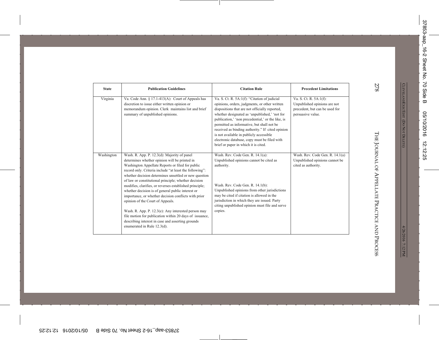| <b>State</b> | <b>Publication Guidelines</b>                                                                                                                                                                                                                                                                                                                                                                                                                                                                                                                                                                                                                                                                                                                  | <b>Citation Rule</b>                                                                                                                                                                                                                                                                                                                                                                                                                                                                       | <b>Precedent Limitations</b>                                                                                                |
|--------------|------------------------------------------------------------------------------------------------------------------------------------------------------------------------------------------------------------------------------------------------------------------------------------------------------------------------------------------------------------------------------------------------------------------------------------------------------------------------------------------------------------------------------------------------------------------------------------------------------------------------------------------------------------------------------------------------------------------------------------------------|--------------------------------------------------------------------------------------------------------------------------------------------------------------------------------------------------------------------------------------------------------------------------------------------------------------------------------------------------------------------------------------------------------------------------------------------------------------------------------------------|-----------------------------------------------------------------------------------------------------------------------------|
| Virginia     | Va. Code Ann. § 17.1-413(A): Court of Appeals has<br>discretion to issue either written opinion or<br>memorandum opinion. Clerk maintains list and brief<br>summary of unpublished opinions.                                                                                                                                                                                                                                                                                                                                                                                                                                                                                                                                                   | Va. S. Ct. R. 5A:1(f): "Citation of judicial<br>opinions, orders, judgments, or other written<br>dispositions that are not officially reported,<br>whether designated as 'unpublished,' 'not for<br>publication,' 'non precedential,' or the like, is<br>permitted as informative, but shall not be<br>received as binding authority." If cited opinion<br>is not available in publicly accessible<br>electronic database, copy must be filed with<br>brief or paper in which it is cited. | $\overline{Va}$ . S. Ct. R. 5A:1(f):<br>Unpublished opinions are not<br>precedent, but can be used for<br>persuasive value. |
| Washington   | Wash. R. App. P. 12.3(d): Majority of panel<br>determines whether opinion will be printed in<br>Washington Appellate Reports or filed for public<br>record only. Criteria include "at least the following":<br>whether decision determines unsettled or new question<br>of law or constitutional principle; whether decision<br>modifies, clarifies, or reverses established principle;<br>whether decision is of general public interest or<br>importance, or whether decision conflicts with prior<br>opinion of the Court of Appeals.<br>Wash. R. App. P. 12.3(e): Any interested person may<br>file motion for publication within 20 days of issuance,<br>describing interest in case and asserting grounds<br>enumerated in Rule 12.3(d). | Wash. Rev. Code Gen. R. 14.1(a):<br>Unpublished opinions cannot be cited as<br>authority.<br>Wash. Rev. Code Gen. R. 14.1(b):<br>Unpublished opinions from other jurisdictions<br>may be cited if citation is allowed in the<br>jurisdiction in which they are issued. Party<br>citing unpublished opinion must file and serve<br>copies.                                                                                                                                                  | Wash. Rev. Code Gen. R. 14.1(a)<br>Unpublished opinions cannot be<br>cited as authority.                                    |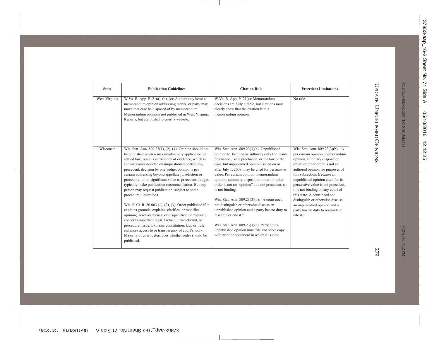| <b>State</b>  | <b>Publication Guidelines</b>                                                                                                                                                                                                                                                                                                                                                                                                                                                                                                                                                                                                                                                                                                                                                                                                                                                                                                                                          | <b>Citation Rule</b>                                                                                                                                                                                                                                                                                                                                                                                                                                                                                                                                                                                                                                                                                                                  | <b>Precedent Limitations</b>                                                                                                                                                                                                                                                                                                                                                                                                                                                  |
|---------------|------------------------------------------------------------------------------------------------------------------------------------------------------------------------------------------------------------------------------------------------------------------------------------------------------------------------------------------------------------------------------------------------------------------------------------------------------------------------------------------------------------------------------------------------------------------------------------------------------------------------------------------------------------------------------------------------------------------------------------------------------------------------------------------------------------------------------------------------------------------------------------------------------------------------------------------------------------------------|---------------------------------------------------------------------------------------------------------------------------------------------------------------------------------------------------------------------------------------------------------------------------------------------------------------------------------------------------------------------------------------------------------------------------------------------------------------------------------------------------------------------------------------------------------------------------------------------------------------------------------------------------------------------------------------------------------------------------------------|-------------------------------------------------------------------------------------------------------------------------------------------------------------------------------------------------------------------------------------------------------------------------------------------------------------------------------------------------------------------------------------------------------------------------------------------------------------------------------|
| West Virginia | W.Va. R. App. P. $21(a)$ , (b), (e): A court may issue a<br>memorandum opinion addressing merits, or party may<br>move that case be disposed of by memorandum.<br>Memorandum opinions not published in West Virginia<br>Reports, but are posted to court's website.                                                                                                                                                                                                                                                                                                                                                                                                                                                                                                                                                                                                                                                                                                    | W.Va. R. App. P. 21(e): Memorandum<br>decisions are fully citable, but citations must<br>clearly show that the citation is to a<br>memorandum opinion.                                                                                                                                                                                                                                                                                                                                                                                                                                                                                                                                                                                | No rule.                                                                                                                                                                                                                                                                                                                                                                                                                                                                      |
| Wisconsin     | Wis. Stat. Ann. 809.23(1), (2), (4): Opinion should not<br>be published when issues involve only application of<br>settled law; issue is sufficiency of evidence, which is<br>shown; issues decided on unquestioned controlling<br>precedent; decision by one judge; opinion is per<br>curiam addressing beyond appellate jurisdiction or<br>procedure; or no significant value as precedent. Judges<br>typically make publication recommendation. But any<br>person may request publication, subject to some<br>procedural limitations.<br>Wis. S. Ct. R. 80.003 (1), (2), (3): Order published if it<br>explains grounds; explains, clarifies, or modifies<br>opinion; resolves recusal or disqualification request;<br>concerns important legal, factual, jurisdictional, or<br>procedural issue; Explains constitution, law, or rule;<br>enhances access to or transparency of court's work.<br>Majority of court determines whether order should be<br>published. | Wis. Stat. Ann. $809.23(3)(a)$ : Unpublished<br>opinion to be cited as authority only for claim<br>preclusion, issue preclusion, or the law of the<br>case, but unpublished opinion issued on or<br>after July 1, 2009, may be cited for persuasive<br>value. Per curiam opinion, memorandum<br>opinion, summary disposition order, or other<br>order is not an "opinion" and not precedent, so<br>is not binding.<br>Wis. Stat. Ann. 809.23(3)(b): "A court need<br>not distinguish or otherwise discuss an<br>unpublished opinion and a party has no duty to<br>research or cite it."<br>Wis. Stat. Ann. 809.23(3)(c): Party citing<br>unpublished opinion must file and serve copy<br>with brief or document in which it is cited. | Wis. Stat. Ann. 809.23(3)(b): "A<br>per curiam opinion, memorandum<br>opinion, summary disposition<br>order, or other order is not an<br>authored opinion for purposes of<br>this subsection. Because an<br>unpublished opinion cited for its<br>persuasive value is not precedent,<br>it is not binding on any court of<br>this state. A court need not<br>distinguish or otherwise discuss<br>an unpublished opinion and a<br>party has no duty to research or<br>cite it." |